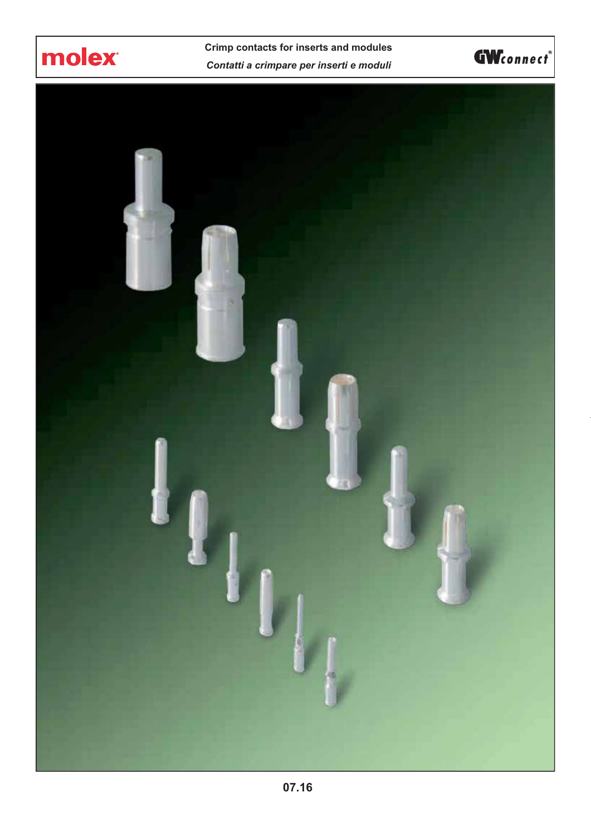

**Crimp contacts for inserts and modules** *Contatti a crimpare per inserti e moduli*



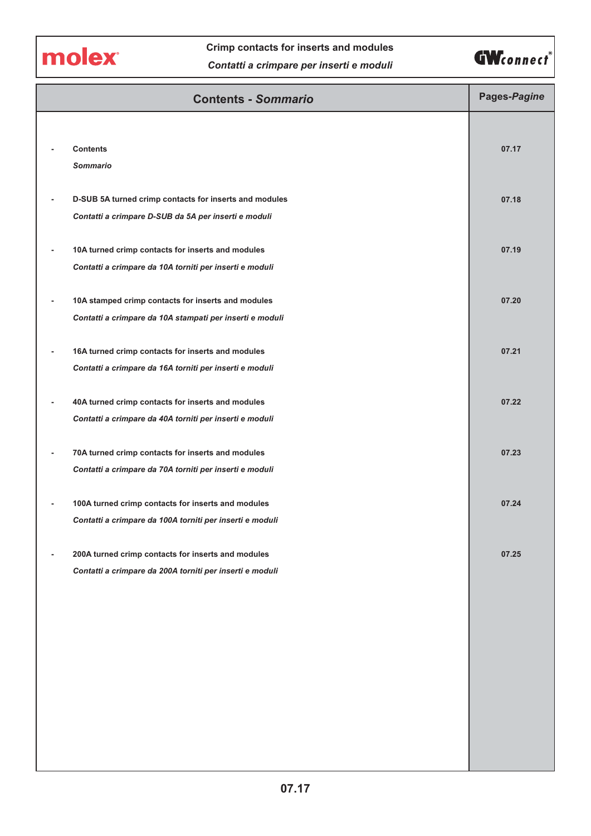molex

# **Crimp contacts for inserts and modules** *Contatti a crimpare per inserti e moduli*



| 07.17                                     |
|-------------------------------------------|
|                                           |
| 07.18                                     |
|                                           |
| 07.19                                     |
|                                           |
| 07.20                                     |
|                                           |
|                                           |
|                                           |
|                                           |
|                                           |
|                                           |
|                                           |
|                                           |
|                                           |
|                                           |
|                                           |
|                                           |
|                                           |
|                                           |
|                                           |
|                                           |
|                                           |
|                                           |
| 07.21<br>07.22<br>07.23<br>07.24<br>07.25 |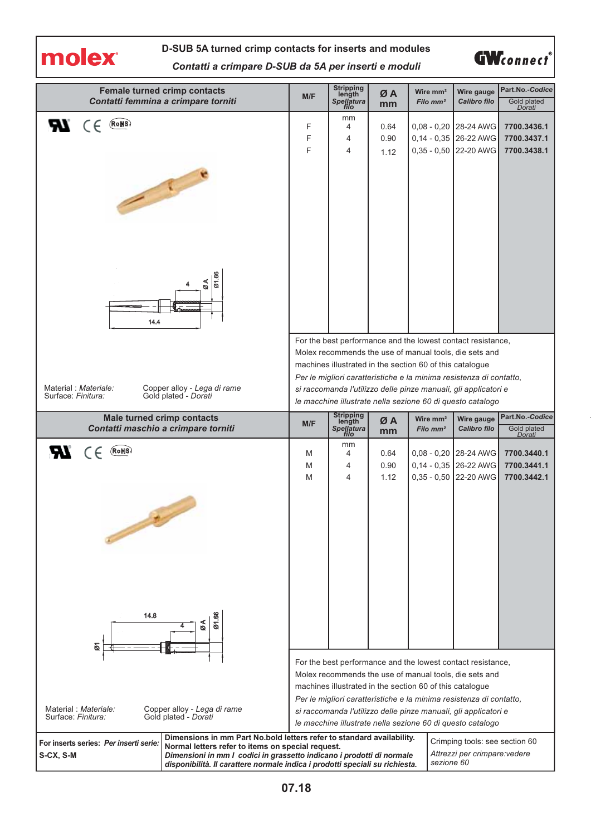

#### **D-SUB 5A turned crimp contacts for inserts and modules**

**GW**connect

*Contatti a crimpare D-SUB da 5A per inserti e moduli*

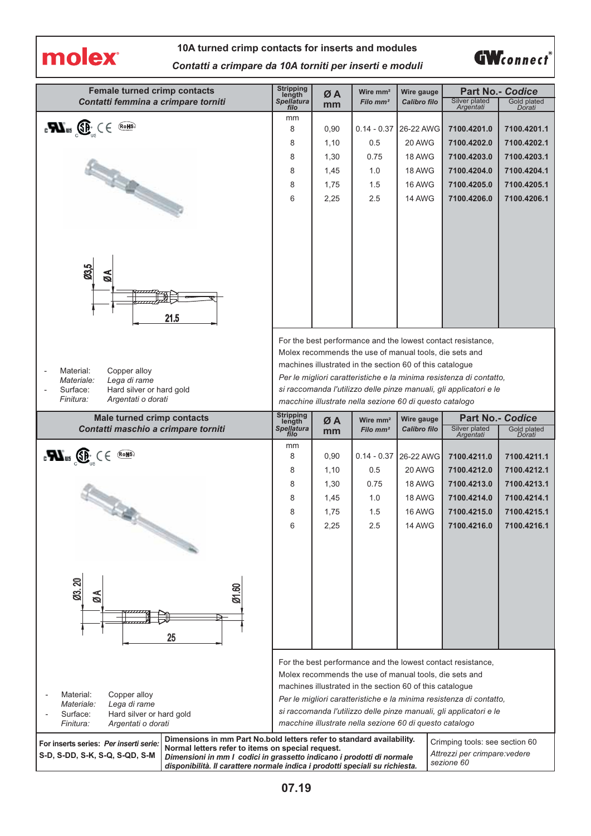molex

#### **10A turned crimp contacts for inserts and modules** *Contatti a crimpare da 10A torniti per inserti e moduli*



| <b>Female turned crimp contacts</b><br>Contatti femmina a crimpare torniti                                                                                                                                                                   | Stripping<br>length<br>Spellatura | ØA           | Wire mm <sup>2</sup><br>Filo mm <sup>2</sup>             | Wire gauge<br>Calibro filo | Silver plated                                                                                                         | <b>Part No.- Codice</b><br>Gold plated |
|----------------------------------------------------------------------------------------------------------------------------------------------------------------------------------------------------------------------------------------------|-----------------------------------|--------------|----------------------------------------------------------|----------------------------|-----------------------------------------------------------------------------------------------------------------------|----------------------------------------|
|                                                                                                                                                                                                                                              | filo                              | mm           |                                                          |                            | Argentati                                                                                                             | Dorati                                 |
| $\mathbf{F}$ and $\mathbf{F}$ and $\mathbf{F}$ and $\mathbf{F}$                                                                                                                                                                              | mm<br>8                           | 0,90         | $0.14 - 0.37$                                            | 26-22 AWG                  | 7100.4201.0                                                                                                           | 7100.4201.1                            |
|                                                                                                                                                                                                                                              | 8                                 | 1,10         | 0.5                                                      | 20 AWG                     | 7100.4202.0                                                                                                           | 7100.4202.1                            |
|                                                                                                                                                                                                                                              | 8                                 | 1,30         | 0.75                                                     | 18 AWG                     | 7100.4203.0                                                                                                           | 7100.4203.1                            |
|                                                                                                                                                                                                                                              | 8                                 | 1,45         | 1.0                                                      | 18 AWG                     | 7100.4204.0                                                                                                           | 7100.4204.1                            |
|                                                                                                                                                                                                                                              | 8                                 | 1,75         | 1.5                                                      | 16 AWG                     | 7100.4205.0                                                                                                           | 7100.4205.1                            |
|                                                                                                                                                                                                                                              | 6                                 | 2,25         | 2.5                                                      | <b>14 AWG</b>              | 7100.4206.0                                                                                                           | 7100.4206.1                            |
| <b>STATES OF THE COMPANY</b>                                                                                                                                                                                                                 |                                   |              |                                                          |                            |                                                                                                                       |                                        |
|                                                                                                                                                                                                                                              |                                   |              |                                                          |                            |                                                                                                                       |                                        |
|                                                                                                                                                                                                                                              |                                   |              |                                                          |                            |                                                                                                                       |                                        |
|                                                                                                                                                                                                                                              |                                   |              |                                                          |                            |                                                                                                                       |                                        |
| 03,5<br>ØÅ                                                                                                                                                                                                                                   |                                   |              |                                                          |                            |                                                                                                                       |                                        |
|                                                                                                                                                                                                                                              |                                   |              |                                                          |                            |                                                                                                                       |                                        |
|                                                                                                                                                                                                                                              |                                   |              |                                                          |                            |                                                                                                                       |                                        |
| 21.5                                                                                                                                                                                                                                         |                                   |              |                                                          |                            |                                                                                                                       |                                        |
|                                                                                                                                                                                                                                              |                                   |              |                                                          |                            | For the best performance and the lowest contact resistance,                                                           |                                        |
|                                                                                                                                                                                                                                              |                                   |              |                                                          |                            | Molex recommends the use of manual tools, die sets and                                                                |                                        |
| Material:<br>Copper alloy                                                                                                                                                                                                                    |                                   |              | machines illustrated in the section 60 of this catalogue |                            |                                                                                                                       |                                        |
| Lega di rame<br>Materiale:                                                                                                                                                                                                                   |                                   |              |                                                          |                            | Per le migliori caratteristiche e la minima resistenza di contatto,                                                   |                                        |
| Surface:<br>Hard silver or hard gold                                                                                                                                                                                                         |                                   |              |                                                          |                            | si raccomanda l'utilizzo delle pinze manuali, gli applicatori e le                                                    |                                        |
| Finitura:<br>Argentati o dorati                                                                                                                                                                                                              |                                   |              | macchine illustrate nella sezione 60 di questo catalogo  |                            |                                                                                                                       |                                        |
| <b>Male turned crimp contacts</b>                                                                                                                                                                                                            | Stripping<br>length               | ØA           | Wire mm <sup>2</sup>                                     | Wire gauge                 | <b>Part No.- Codice</b>                                                                                               |                                        |
| Contatti maschio a crimpare torniti                                                                                                                                                                                                          | <b>Spellatura</b><br>filo         | mm           | Filo mm <sup>2</sup>                                     | Calibro filo               | <b>Silver plated</b><br>Argentati                                                                                     | Gold plated<br>Dorati                  |
| $\mathbf{F}$ $\mathbf{M}_{\text{ms}}$ $\mathbf{G}$ $\mathbf{F}_{\text{ms}}$ $\in$ $\mathbf{F}$ $\mathbf{F}$                                                                                                                                  | mm<br>8                           | 0,90         | $0.14 - 0.37$                                            | 26-22 AWG                  | 7100.4211.0                                                                                                           |                                        |
|                                                                                                                                                                                                                                              |                                   |              |                                                          |                            |                                                                                                                       |                                        |
|                                                                                                                                                                                                                                              |                                   |              |                                                          |                            |                                                                                                                       | 7100.4211.1                            |
|                                                                                                                                                                                                                                              | 8<br>8                            | 1,10         | 0.5<br>0.75                                              | 20 AWG<br>18 AWG           | 7100.4212.0                                                                                                           | 7100.4212.1                            |
|                                                                                                                                                                                                                                              | 8                                 | 1,30<br>1,45 | 1.0                                                      | 18 AWG                     | 7100.4213.0<br>7100.4214.0                                                                                            | 7100.4213.1<br>7100.4214.1             |
|                                                                                                                                                                                                                                              | 8                                 | 1,75         | 1.5                                                      | 16 AWG                     | 7100.4215.0                                                                                                           | 7100.4215.1                            |
| <b>Contractor</b>                                                                                                                                                                                                                            | հ                                 | 2,25         | 2.5                                                      | 14 AWG                     | 7100.4216.0                                                                                                           | 7100.4216.1                            |
|                                                                                                                                                                                                                                              |                                   |              |                                                          |                            |                                                                                                                       |                                        |
|                                                                                                                                                                                                                                              |                                   |              |                                                          |                            |                                                                                                                       |                                        |
|                                                                                                                                                                                                                                              |                                   |              |                                                          |                            |                                                                                                                       |                                        |
|                                                                                                                                                                                                                                              |                                   |              |                                                          |                            |                                                                                                                       |                                        |
| 03.20<br>ළ<br>ă                                                                                                                                                                                                                              |                                   |              |                                                          |                            |                                                                                                                       |                                        |
|                                                                                                                                                                                                                                              |                                   |              |                                                          |                            |                                                                                                                       |                                        |
|                                                                                                                                                                                                                                              |                                   |              |                                                          |                            |                                                                                                                       |                                        |
| 25                                                                                                                                                                                                                                           |                                   |              |                                                          |                            |                                                                                                                       |                                        |
|                                                                                                                                                                                                                                              |                                   |              |                                                          |                            |                                                                                                                       |                                        |
|                                                                                                                                                                                                                                              |                                   |              |                                                          |                            | For the best performance and the lowest contact resistance,<br>Molex recommends the use of manual tools, die sets and |                                        |
|                                                                                                                                                                                                                                              |                                   |              | machines illustrated in the section 60 of this catalogue |                            |                                                                                                                       |                                        |
| Copper alloy<br>Material:                                                                                                                                                                                                                    |                                   |              |                                                          |                            | Per le migliori caratteristiche e la minima resistenza di contatto,                                                   |                                        |
| Materiale:<br>Lega di rame<br>Surface:<br>Hard silver or hard gold                                                                                                                                                                           |                                   |              |                                                          |                            | si raccomanda l'utilizzo delle pinze manuali, gli applicatori e le                                                    |                                        |
| Finitura:<br>Argentati o dorati                                                                                                                                                                                                              |                                   |              | macchine illustrate nella sezione 60 di questo catalogo  |                            |                                                                                                                       |                                        |
| Dimensions in mm Part No.bold letters refer to standard availability.<br>For inserts series: Per inserti serie:                                                                                                                              |                                   |              |                                                          |                            | Crimping tools: see section 60                                                                                        |                                        |
| Normal letters refer to items on special request.<br>S-D, S-DD, S-K, S-Q, S-QD, S-M<br>Dimensioni in mm I codici in grassetto indicano i prodotti di normale<br>disponibilità. Il carattere normale indica i prodotti speciali su richiesta. |                                   |              |                                                          |                            | Attrezzi per crimpare: vedere<br>sezione 60                                                                           |                                        |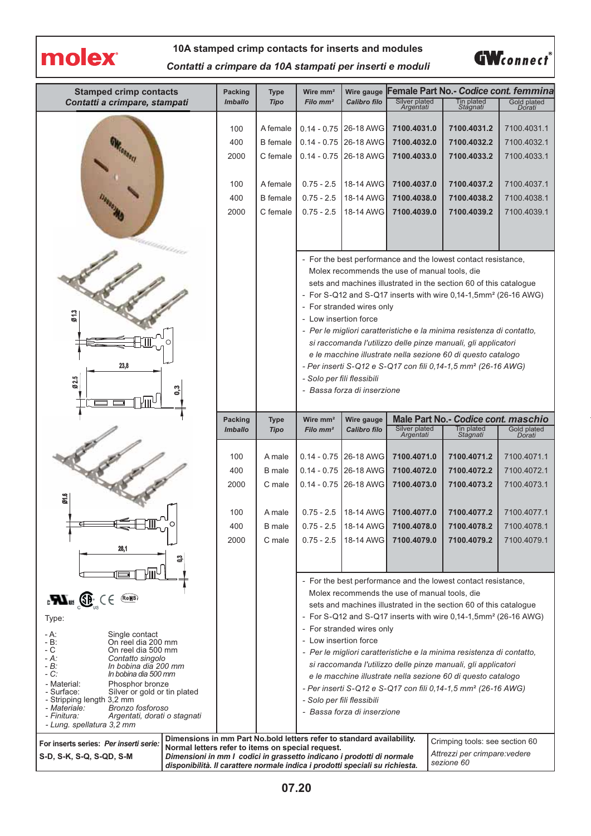

#### **10A stamped crimp contacts for inserts and modules**

**GW**connect®

*Contatti a crimpare da 10A stampati per inserti e moduli*

| <b>Stamped crimp contacts</b>                                                                               | <b>Packing</b>                                                                                                             | <b>Type</b>      | Wire mm <sup>2</sup>       | Wire gauge                  |                                               | Female Part No.- Codice cont. femmina                                                                                         |                            |
|-------------------------------------------------------------------------------------------------------------|----------------------------------------------------------------------------------------------------------------------------|------------------|----------------------------|-----------------------------|-----------------------------------------------|-------------------------------------------------------------------------------------------------------------------------------|----------------------------|
| Contatti a crimpare, stampati                                                                               | <b>Imballo</b>                                                                                                             | <b>Tipo</b>      | Filo mm <sup>2</sup>       | <b>Calibro filo</b>         | Silver plated<br>Argentati                    | Tin plated<br>Stagnati                                                                                                        | Gold plated<br>Dorati      |
|                                                                                                             |                                                                                                                            |                  |                            |                             |                                               |                                                                                                                               |                            |
|                                                                                                             | 100                                                                                                                        | A female         |                            | 0.14 - 0.75 26-18 AWG       | 7100.4031.0                                   | 7100.4031.2                                                                                                                   | 7100.4031.1                |
|                                                                                                             | 400                                                                                                                        | <b>B</b> female  | $0.14 - 0.75$              | 26-18 AWG                   | 7100.4032.0                                   | 7100.4032.2                                                                                                                   | 7100.4032.1                |
|                                                                                                             | 2000                                                                                                                       | C female         |                            | $0.14 - 0.75$ 26-18 AWG     | 7100.4033.0                                   | 7100.4033.2                                                                                                                   | 7100.4033.1                |
|                                                                                                             |                                                                                                                            |                  |                            |                             |                                               |                                                                                                                               |                            |
|                                                                                                             | 100                                                                                                                        | A female         | $0.75 - 2.5$               | 18-14 AWG                   | 7100.4037.0                                   | 7100.4037.2                                                                                                                   | 7100.4037.1                |
|                                                                                                             | 400                                                                                                                        | <b>B</b> female  | $0.75 - 2.5$               | 18-14 AWG                   | 7100.4038.0                                   | 7100.4038.2                                                                                                                   | 7100.4038.1                |
|                                                                                                             | 2000                                                                                                                       | C female         | $0.75 - 2.5$               | 18-14 AWG                   | 7100.4039.0                                   | 7100.4039.2                                                                                                                   | 7100.4039.1                |
|                                                                                                             |                                                                                                                            |                  |                            |                             |                                               |                                                                                                                               |                            |
| anns                                                                                                        |                                                                                                                            |                  |                            |                             |                                               |                                                                                                                               |                            |
|                                                                                                             |                                                                                                                            |                  |                            |                             |                                               | - For the best performance and the lowest contact resistance,                                                                 |                            |
|                                                                                                             |                                                                                                                            |                  |                            |                             | Molex recommends the use of manual tools, die |                                                                                                                               |                            |
|                                                                                                             |                                                                                                                            |                  |                            |                             |                                               | sets and machines illustrated in the section 60 of this catalogue                                                             |                            |
|                                                                                                             |                                                                                                                            |                  |                            |                             |                                               | - For S-Q12 and S-Q17 inserts with wire 0,14-1,5mm <sup>2</sup> (26-16 AWG)                                                   |                            |
| <b>013</b>                                                                                                  |                                                                                                                            |                  |                            | - For stranded wires only   |                                               |                                                                                                                               |                            |
|                                                                                                             |                                                                                                                            |                  | - Low insertion force      |                             |                                               | - Per le migliori caratteristiche e la minima resistenza di contatto,                                                         |                            |
|                                                                                                             |                                                                                                                            |                  |                            |                             |                                               | si raccomanda l'utilizzo delle pinze manuali, gli applicatori                                                                 |                            |
|                                                                                                             |                                                                                                                            |                  |                            |                             |                                               | e le macchine illustrate nella sezione 60 di questo catalogo                                                                  |                            |
| 23,8                                                                                                        |                                                                                                                            |                  |                            |                             |                                               | - Per inserti S-Q12 e S-Q17 con fili 0.14-1.5 mm <sup>2</sup> (26-16 AWG)                                                     |                            |
| Ø25                                                                                                         |                                                                                                                            |                  | - Solo per fili flessibili |                             |                                               |                                                                                                                               |                            |
| ő                                                                                                           |                                                                                                                            |                  |                            | - Bassa forza di inserzione |                                               |                                                                                                                               |                            |
| Vm<br>┓                                                                                                     |                                                                                                                            |                  |                            |                             |                                               |                                                                                                                               |                            |
|                                                                                                             | <b>Packing</b>                                                                                                             | <b>Type</b>      | Wire mm <sup>2</sup>       | Wire gauge                  |                                               | Male Part No.- Codice cont. maschio                                                                                           |                            |
|                                                                                                             | <b>Imballo</b>                                                                                                             | <b>Tipo</b>      | Filo mm <sup>2</sup>       | <b>Calibro filo</b>         | Silver plated<br>Argentati                    | Tin plated<br>Stagnati                                                                                                        | Gold plated<br>Dorati      |
|                                                                                                             |                                                                                                                            |                  |                            |                             |                                               |                                                                                                                               |                            |
|                                                                                                             | 100<br>400                                                                                                                 | A male<br>B male |                            | $0.14 - 0.75$ 26-18 AWG     | 7100.4071.0<br>7100.4072.0                    | 7100.4071.2<br>7100.4072.2                                                                                                    | 7100.4071.1<br>7100.4072.1 |
|                                                                                                             |                                                                                                                            |                  |                            | 0.14 - 0.75 26-18 AWG       | 7100.4073.0                                   |                                                                                                                               |                            |
|                                                                                                             | 2000                                                                                                                       | C male           |                            | $0.14 - 0.75$ 26-18 AWG     |                                               | 7100.4073.2                                                                                                                   | 7100.4073.1                |
| Ø1.6                                                                                                        |                                                                                                                            |                  |                            |                             |                                               |                                                                                                                               |                            |
|                                                                                                             | 100                                                                                                                        | A male           | $0.75 - 2.5$               | 18-14 AWG                   | 7100.4077.0                                   | 7100.4077.2                                                                                                                   | 7100.4077.1                |
|                                                                                                             | 400                                                                                                                        | <b>B</b> male    | $0.75 - 2.5$               | 18-14 AWG                   | 7100.4078.0                                   | 7100.4078.2                                                                                                                   | 7100.4078.1                |
| 28,1                                                                                                        | 2000                                                                                                                       | C male           | $0.75 - 2.5$               | 18-14 AWG                   | 7100.4079.0                                   | 7100.4079.2                                                                                                                   | 7100.4079.1                |
|                                                                                                             |                                                                                                                            |                  |                            |                             |                                               |                                                                                                                               |                            |
|                                                                                                             |                                                                                                                            |                  |                            |                             |                                               |                                                                                                                               |                            |
|                                                                                                             |                                                                                                                            |                  |                            |                             | Molex recommends the use of manual tools, die | - For the best performance and the lowest contact resistance,                                                                 |                            |
| $\mathbf{B}$ and $\mathbf{F}$ and $\mathbf{F}$ and $\mathbf{F}$ and $\mathbf{F}$ and $\mathbf{F}$<br>(RoHS) |                                                                                                                            |                  |                            |                             |                                               | sets and machines illustrated in the section 60 of this catalogue                                                             |                            |
| Type:                                                                                                       |                                                                                                                            |                  |                            |                             |                                               | - For S-Q12 and S-Q17 inserts with wire 0,14-1,5mm <sup>2</sup> (26-16 AWG)                                                   |                            |
| - A:<br>Single contact                                                                                      |                                                                                                                            |                  |                            | - For stranded wires only   |                                               |                                                                                                                               |                            |
| On reel dia 200 mm<br>- B:<br>- C<br>On reel dia 500 mm                                                     |                                                                                                                            |                  | - Low insertion force      |                             |                                               |                                                                                                                               |                            |
| - A:<br>Contatto singolo                                                                                    |                                                                                                                            |                  |                            |                             |                                               | - Per le migliori caratteristiche e la minima resistenza di contatto,                                                         |                            |
| In bobina dia 200 mm<br>- B:<br>- C:<br>In bobina dia 500 mm                                                |                                                                                                                            |                  |                            |                             |                                               | si raccomanda l'utilizzo delle pinze manuali, gli applicatori<br>e le macchine illustrate nella sezione 60 di questo catalogo |                            |
| - Material:<br>Phosphor bronze                                                                              |                                                                                                                            |                  |                            |                             |                                               | - Per inserti S-Q12 e S-Q17 con fili 0,14-1,5 mm <sup>2</sup> (26-16 AWG)                                                     |                            |
| - Surface:<br>Silver or gold or tin plated<br>- Stripping length 3,2 mm                                     |                                                                                                                            |                  | - Solo per fili flessibili |                             |                                               |                                                                                                                               |                            |
| - Materiale:<br>Bronzo fosforoso<br>- Finitura:<br>Argentati, dorati o stagnati                             |                                                                                                                            |                  |                            | - Bassa forza di inserzione |                                               |                                                                                                                               |                            |
| - Lung. spellatura 3,2 mm                                                                                   |                                                                                                                            |                  |                            |                             |                                               |                                                                                                                               |                            |
| For inserts series: Per inserti serie:                                                                      | Dimensions in mm Part No.bold letters refer to standard availability.                                                      |                  |                            |                             |                                               | Crimping tools: see section 60                                                                                                |                            |
| S-D, S-K, S-Q, S-QD, S-M                                                                                    | Normal letters refer to items on special request.<br>Dimensioni in mm I codici in grassetto indicano i prodotti di normale |                  |                            |                             |                                               | Attrezzi per crimpare: vedere                                                                                                 |                            |
| sezione 60<br>disponibilità. Il carattere normale indica i prodotti speciali su richiesta.                  |                                                                                                                            |                  |                            |                             |                                               |                                                                                                                               |                            |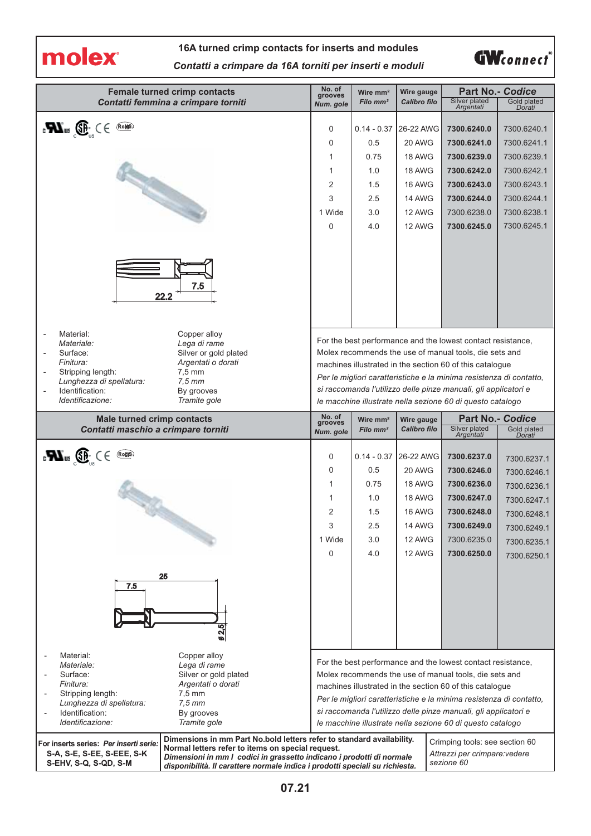

## **16A turned crimp contacts for inserts and modules** *Contatti a crimpare da 16A torniti per inserti e moduli*



|                                                                                                                             | <b>Female turned crimp contacts</b>                                                                                        | No. of<br>grooves                                                                                                                                                                                                                                                                                                                                                                         | Wire $mm2$                   | Wire gauge                    | <b>Part No.- Codice</b>                                                                                               |                                           |  |
|-----------------------------------------------------------------------------------------------------------------------------|----------------------------------------------------------------------------------------------------------------------------|-------------------------------------------------------------------------------------------------------------------------------------------------------------------------------------------------------------------------------------------------------------------------------------------------------------------------------------------------------------------------------------------|------------------------------|-------------------------------|-----------------------------------------------------------------------------------------------------------------------|-------------------------------------------|--|
|                                                                                                                             | Contatti femmina a crimpare torniti                                                                                        | Num. gole                                                                                                                                                                                                                                                                                                                                                                                 | Filo mm <sup>2</sup>         | Calibro filo                  | Silver plated<br>Argentati                                                                                            | Gold plated<br>Dorati                     |  |
| $_{c}$ VI $_{us}$ ( $\bigoplus_{i=1}^{n}$ $\bigoplus$ $\bigoplus_{i=1}^{n}$                                                 |                                                                                                                            | 0<br>0<br>1                                                                                                                                                                                                                                                                                                                                                                               | $0.14 - 0.37$<br>0.5<br>0.75 | 26-22 AWG<br>20 AWG<br>18 AWG | 7300.6240.0<br>7300.6241.0<br>7300.6239.0                                                                             | 7300.6240.1<br>7300.6241.1<br>7300.6239.1 |  |
|                                                                                                                             |                                                                                                                            | 1                                                                                                                                                                                                                                                                                                                                                                                         | 1.0                          | 18 AWG                        | 7300.6242.0                                                                                                           | 7300.6242.1                               |  |
|                                                                                                                             |                                                                                                                            | 2                                                                                                                                                                                                                                                                                                                                                                                         | 1.5                          | <b>16 AWG</b>                 | 7300.6243.0                                                                                                           | 7300.6243.1                               |  |
|                                                                                                                             |                                                                                                                            | 3                                                                                                                                                                                                                                                                                                                                                                                         | 2.5                          | <b>14 AWG</b>                 | 7300.6244.0                                                                                                           | 7300.6244.1                               |  |
|                                                                                                                             |                                                                                                                            | 1 Wide                                                                                                                                                                                                                                                                                                                                                                                    | 3.0                          | 12 AWG                        | 7300.6238.0                                                                                                           | 7300.6238.1                               |  |
|                                                                                                                             | 7.5                                                                                                                        | 0                                                                                                                                                                                                                                                                                                                                                                                         | 4.0                          | 12 AWG                        | 7300.6245.0                                                                                                           | 7300.6245.1                               |  |
| Material:<br>Ĭ.                                                                                                             | 22.2<br>Copper alloy                                                                                                       |                                                                                                                                                                                                                                                                                                                                                                                           |                              |                               |                                                                                                                       |                                           |  |
| Materiale:<br>Surface:<br>Finitura:<br>Stripping length:<br>Lunghezza di spellatura:<br>Identification:<br>Identificazione: | Lega di rame<br>Silver or gold plated<br>Argentati o dorati<br>$7.5 \text{ mm}$<br>$7.5$ mm<br>By grooves<br>Tramite gole  | For the best performance and the lowest contact resistance,<br>Molex recommends the use of manual tools, die sets and<br>machines illustrated in the section 60 of this catalogue<br>Per le migliori caratteristiche e la minima resistenza di contatto,<br>si raccomanda l'utilizzo delle pinze manuali, gli applicatori e<br>le macchine illustrate nella sezione 60 di questo catalogo |                              |                               |                                                                                                                       |                                           |  |
| <b>Male turned crimp contacts</b>                                                                                           |                                                                                                                            | No. of<br>grooves                                                                                                                                                                                                                                                                                                                                                                         | Wire mm <sup>2</sup>         | Wire gauge<br>Calibro filo    | <b>Part No.- Codice</b><br>Silver plated                                                                              | Gold plated                               |  |
| Contatti maschio a crimpare torniti                                                                                         |                                                                                                                            | Num. gole                                                                                                                                                                                                                                                                                                                                                                                 | Filo mm <sup>2</sup>         |                               | Argentati                                                                                                             | Dorati                                    |  |
| $_{\rm c}$ , $\mathbf{W}_{\rm us}$ , $\mathbf{G}_{\rm us}$ ( $\in$                                                          |                                                                                                                            | 0                                                                                                                                                                                                                                                                                                                                                                                         | $0.14 - 0.37$                | 26-22 AWG                     | 7300.6237.0                                                                                                           | 7300.6237.1                               |  |
|                                                                                                                             |                                                                                                                            | 0                                                                                                                                                                                                                                                                                                                                                                                         | 0.5                          | 20 AWG                        | 7300.6246.0                                                                                                           | 7300.6246.1                               |  |
|                                                                                                                             |                                                                                                                            | 1                                                                                                                                                                                                                                                                                                                                                                                         | 0.75                         | 18 AWG                        | 7300.6236.0                                                                                                           |                                           |  |
|                                                                                                                             |                                                                                                                            |                                                                                                                                                                                                                                                                                                                                                                                           |                              |                               |                                                                                                                       | 7300.6236.1                               |  |
|                                                                                                                             |                                                                                                                            | 1                                                                                                                                                                                                                                                                                                                                                                                         | 1.0                          | 18 AWG                        | 7300.6247.0                                                                                                           | 7300.6247.1                               |  |
|                                                                                                                             |                                                                                                                            | 2                                                                                                                                                                                                                                                                                                                                                                                         | 1.5                          | <b>16 AWG</b>                 | 7300.6248.0                                                                                                           | 7300.6248.1                               |  |
|                                                                                                                             |                                                                                                                            | 3                                                                                                                                                                                                                                                                                                                                                                                         | 2.5                          | 14 AWG                        | 7300.6249.0                                                                                                           | 7300.6249.1                               |  |
|                                                                                                                             |                                                                                                                            | 1 Wide                                                                                                                                                                                                                                                                                                                                                                                    | 3.0                          | 12 AWG                        | 7300.6235.0                                                                                                           |                                           |  |
|                                                                                                                             |                                                                                                                            | 0                                                                                                                                                                                                                                                                                                                                                                                         | 4.0                          | 12 AWG                        | 7300.6250.0                                                                                                           |                                           |  |
| 7.5                                                                                                                         | 25<br>2,5<br>ø                                                                                                             |                                                                                                                                                                                                                                                                                                                                                                                           |                              |                               |                                                                                                                       | 7300.6235.1                               |  |
| Material:                                                                                                                   | Copper alloy                                                                                                               |                                                                                                                                                                                                                                                                                                                                                                                           |                              |                               |                                                                                                                       |                                           |  |
| Materiale:<br>Surface:                                                                                                      | Lega di rame<br>Silver or gold plated                                                                                      |                                                                                                                                                                                                                                                                                                                                                                                           |                              |                               | For the best performance and the lowest contact resistance,<br>Molex recommends the use of manual tools, die sets and |                                           |  |
| Finitura:                                                                                                                   | Argentati o dorati                                                                                                         |                                                                                                                                                                                                                                                                                                                                                                                           |                              |                               | machines illustrated in the section 60 of this catalogue                                                              |                                           |  |
| Stripping length:<br>Lunghezza di spellatura:                                                                               | $7.5 \text{ mm}$<br>$7,5$ mm                                                                                               |                                                                                                                                                                                                                                                                                                                                                                                           |                              |                               | Per le migliori caratteristiche e la minima resistenza di contatto,                                                   |                                           |  |
| Identification:                                                                                                             | By grooves                                                                                                                 |                                                                                                                                                                                                                                                                                                                                                                                           |                              |                               | si raccomanda l'utilizzo delle pinze manuali, gli applicatori e                                                       | 7300.6250.1                               |  |
| Identificazione:                                                                                                            | Tramite gole                                                                                                               |                                                                                                                                                                                                                                                                                                                                                                                           |                              |                               | le macchine illustrate nella sezione 60 di questo catalogo                                                            |                                           |  |
| For inserts series: Per inserti serie:<br>S-A, S-E, S-EE, S-EEE, S-K                                                        | Dimensions in mm Part No.bold letters refer to standard availability.<br>Normal letters refer to items on special request. |                                                                                                                                                                                                                                                                                                                                                                                           |                              |                               | Crimping tools: see section 60<br>Attrezzi per crimpare: vedere                                                       |                                           |  |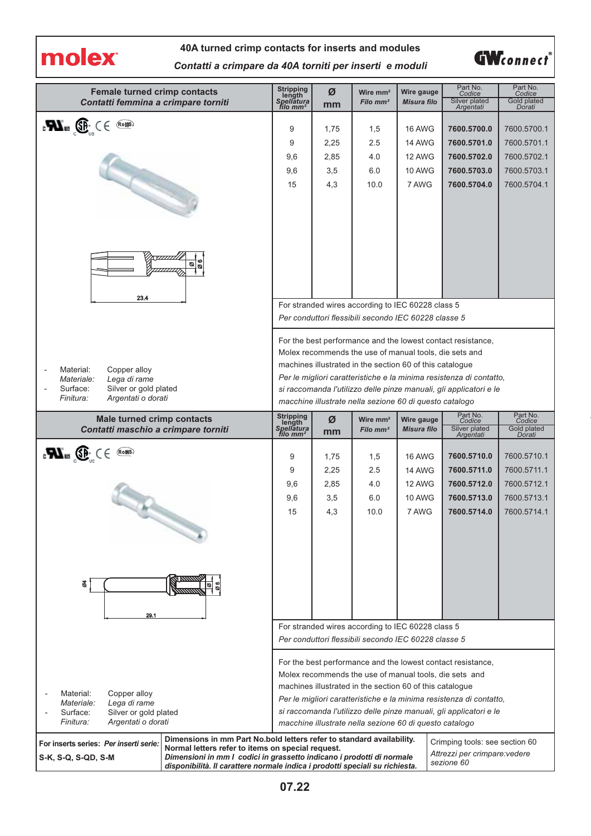molex

# **40A turned crimp contacts for inserts and modules** *Contatti a crimpare da 40A torniti per inserti e moduli*



| <b>Female turned crimp contacts</b><br>Contatti femmina a crimpare torniti                                                      | Stripping<br>length<br>Spellatura<br>filo mm <sup>2</sup>                                                                                                                                                                                                                                                                                                                                 | Ø<br>mm | Wire $mm2$<br>Filo mm <sup>2</sup>                   | Wire gauge<br><b>Misura filo</b> | Part No.<br>Codice<br>Silver plated<br>Argentati | Part No.<br>Codice<br><b>Gold plated</b><br>Dorati |  |
|---------------------------------------------------------------------------------------------------------------------------------|-------------------------------------------------------------------------------------------------------------------------------------------------------------------------------------------------------------------------------------------------------------------------------------------------------------------------------------------------------------------------------------------|---------|------------------------------------------------------|----------------------------------|--------------------------------------------------|----------------------------------------------------|--|
| $\mathbf{F}$ and $\mathbf{F}$ and $\mathbf{F}$ and $\mathbf{F}$                                                                 | 9                                                                                                                                                                                                                                                                                                                                                                                         | 1,75    | 1,5                                                  | <b>16 AWG</b>                    | 7600.5700.0                                      | 7600.5700.1                                        |  |
|                                                                                                                                 | 9                                                                                                                                                                                                                                                                                                                                                                                         | 2,25    | 2.5                                                  | 14 AWG                           | 7600.5701.0                                      | 7600.5701.1                                        |  |
|                                                                                                                                 | 9,6                                                                                                                                                                                                                                                                                                                                                                                       | 2,85    | 4.0                                                  | 12 AWG                           | 7600.5702.0                                      | 7600.5702.1                                        |  |
|                                                                                                                                 | 9,6                                                                                                                                                                                                                                                                                                                                                                                       | 3,5     | 6.0                                                  | <b>10 AWG</b>                    | 7600.5703.0                                      | 7600.5703.1                                        |  |
|                                                                                                                                 | 15                                                                                                                                                                                                                                                                                                                                                                                        | 4,3     | 10.0                                                 | 7 AWG                            | 7600.5704.0                                      | 7600.5704.1                                        |  |
| <i><u>VIIIIII</u></i><br> ອີ<br>ø<br>23.4                                                                                       |                                                                                                                                                                                                                                                                                                                                                                                           |         |                                                      |                                  |                                                  |                                                    |  |
|                                                                                                                                 |                                                                                                                                                                                                                                                                                                                                                                                           |         | For stranded wires according to IEC 60228 class 5    |                                  |                                                  |                                                    |  |
|                                                                                                                                 |                                                                                                                                                                                                                                                                                                                                                                                           |         | Per conduttori flessibili secondo IEC 60228 classe 5 |                                  |                                                  |                                                    |  |
| Copper alloy<br>Material:<br>Materiale:<br>Lega di rame<br>Surface:<br>Silver or gold plated<br>Argentati o dorati<br>Finitura: | For the best performance and the lowest contact resistance,<br>Molex recommends the use of manual tools, die sets and<br>machines illustrated in the section 60 of this catalogue<br>Per le migliori caratteristiche e la minima resistenza di contatto,<br>si raccomanda l'utilizzo delle pinze manuali, gli applicatori e le<br>macchine illustrate nella sezione 60 di questo catalogo |         |                                                      |                                  |                                                  |                                                    |  |
| <b>Male turned crimp contacts</b>                                                                                               | Stripping<br>length<br>Spellatura                                                                                                                                                                                                                                                                                                                                                         | Ø       | Wire $mm2$                                           | Wire gauge                       | Part No.<br>Codice                               | Part No.<br>Codice                                 |  |
| Contatti maschio a crimpare torniti                                                                                             | filo mm <sup>2</sup>                                                                                                                                                                                                                                                                                                                                                                      | mm      | Filo mm <sup>2</sup>                                 | <b>Misura filo</b>               | Silver plated<br>Argentati                       | Gold plated<br>Dorati                              |  |
| $_{\rm c}$ H $_{\rm us}$ (if $_{\rm sc}$ ( $\in$                                                                                | 9                                                                                                                                                                                                                                                                                                                                                                                         | 1,75    | 1,5                                                  | <b>16 AWG</b>                    | 7600.5710.0                                      | 7600.5710.1                                        |  |
|                                                                                                                                 | 9                                                                                                                                                                                                                                                                                                                                                                                         | 2,25    | 2.5                                                  | 14 AWG                           | 7600.5711.0                                      | 7600.5711.1                                        |  |
|                                                                                                                                 | 9,6                                                                                                                                                                                                                                                                                                                                                                                       | 2,85    | 4.0                                                  | 12 AWG                           | 7600.5712.0                                      | 7600.5712.1                                        |  |
|                                                                                                                                 | 9,6                                                                                                                                                                                                                                                                                                                                                                                       | 3,5     | 6.0                                                  | <b>10 AWG</b>                    | 7600.5713.0                                      | 7600.5713.1                                        |  |
|                                                                                                                                 | 15                                                                                                                                                                                                                                                                                                                                                                                        | 4,3     | 10.0                                                 | 7 AWG                            | 7600.5714.0                                      | 7600.5714.1                                        |  |
| ड<br>29.1                                                                                                                       |                                                                                                                                                                                                                                                                                                                                                                                           |         |                                                      |                                  |                                                  |                                                    |  |
|                                                                                                                                 |                                                                                                                                                                                                                                                                                                                                                                                           |         | For stranded wires according to IEC 60228 class 5    |                                  |                                                  |                                                    |  |
|                                                                                                                                 |                                                                                                                                                                                                                                                                                                                                                                                           |         | Per conduttori flessibili secondo IEC 60228 classe 5 |                                  |                                                  |                                                    |  |
| Material:<br>Copper alloy<br>Materiale:<br>Lega di rame<br>Surface:<br>Silver or gold plated<br>Finitura:<br>Argentati o dorati | For the best performance and the lowest contact resistance,<br>Molex recommends the use of manual tools, die sets and<br>machines illustrated in the section 60 of this catalogue<br>Per le migliori caratteristiche e la minima resistenza di contatto,<br>si raccomanda l'utilizzo delle pinze manuali, gli applicatori e le<br>macchine illustrate nella sezione 60 di questo catalogo |         |                                                      |                                  |                                                  |                                                    |  |
| For inserts series: Per inserti serie:<br>Normal letters refer to items on special request.<br>S-K, S-Q, S-QD, S-M              | Dimensions in mm Part No.bold letters refer to standard availability.<br>Crimping tools: see section 60<br>Attrezzi per crimpare: vedere<br>Dimensioni in mm I codici in grassetto indicano i prodotti di normale<br>sezione 60<br>disponibilità. Il carattere normale indica i prodotti speciali su richiesta.                                                                           |         |                                                      |                                  |                                                  |                                                    |  |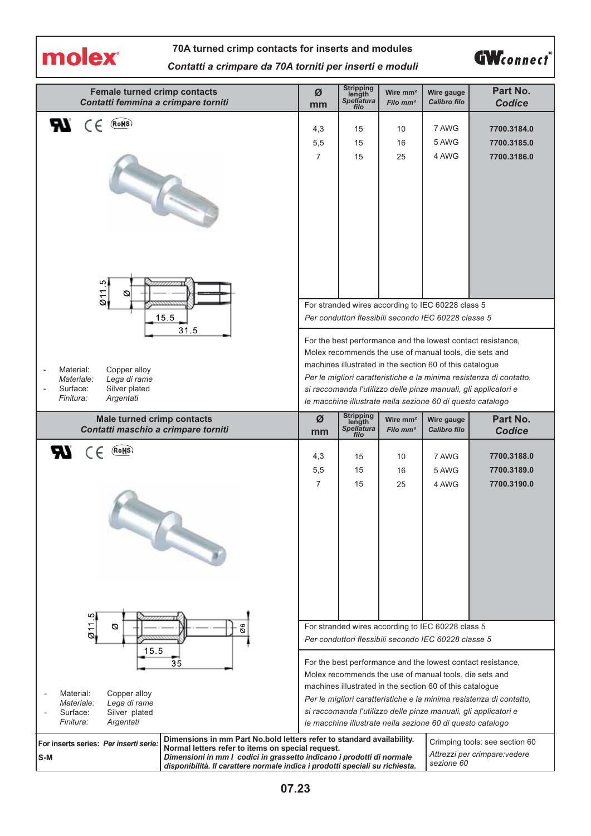

## **70A turned crimp contacts for inserts and modules** *Contatti a crimpare da 70A torniti per inserti e moduli*



| <b>Female turned crimp contacts</b><br>Contatti femmina a crimpare torniti                                                                                                                                                                                                                                                                                                                                                                                                          | Ø<br>mm                                                                                                                                                                                                                                                                                                                                                                                                                                           | Stripping<br>length<br>Spellatura<br>filo | Wire mm <sup>2</sup><br>Filo mm <sup>2</sup> | Wire gauge<br>Calibro filo                               | Part No.<br><b>Codice</b>                                           |  |
|-------------------------------------------------------------------------------------------------------------------------------------------------------------------------------------------------------------------------------------------------------------------------------------------------------------------------------------------------------------------------------------------------------------------------------------------------------------------------------------|---------------------------------------------------------------------------------------------------------------------------------------------------------------------------------------------------------------------------------------------------------------------------------------------------------------------------------------------------------------------------------------------------------------------------------------------------|-------------------------------------------|----------------------------------------------|----------------------------------------------------------|---------------------------------------------------------------------|--|
| (RoHS)<br>ЯY.<br>$\epsilon$                                                                                                                                                                                                                                                                                                                                                                                                                                                         |                                                                                                                                                                                                                                                                                                                                                                                                                                                   | 15                                        | 10                                           | 7 AWG                                                    | 7700.3184.0                                                         |  |
|                                                                                                                                                                                                                                                                                                                                                                                                                                                                                     | 4,3<br>5,5                                                                                                                                                                                                                                                                                                                                                                                                                                        | 15                                        | 16                                           | 5 AWG                                                    | 7700.3185.0                                                         |  |
|                                                                                                                                                                                                                                                                                                                                                                                                                                                                                     | $\overline{7}$                                                                                                                                                                                                                                                                                                                                                                                                                                    | 15                                        | 25                                           | 4 AWG                                                    | 7700.3186.0                                                         |  |
|                                                                                                                                                                                                                                                                                                                                                                                                                                                                                     |                                                                                                                                                                                                                                                                                                                                                                                                                                                   |                                           |                                              |                                                          |                                                                     |  |
| 011.5<br>Ø                                                                                                                                                                                                                                                                                                                                                                                                                                                                          |                                                                                                                                                                                                                                                                                                                                                                                                                                                   |                                           |                                              | For stranded wires according to IEC 60228 class 5        |                                                                     |  |
| 15.5                                                                                                                                                                                                                                                                                                                                                                                                                                                                                |                                                                                                                                                                                                                                                                                                                                                                                                                                                   |                                           |                                              |                                                          |                                                                     |  |
| 31.5<br>Copper alloy<br>Material:<br>Lega di rame<br>Materiale:<br>Silver plated<br>Surface:<br>Finitura:<br>Argentati                                                                                                                                                                                                                                                                                                                                                              | Per conduttori flessibili secondo IEC 60228 classe 5<br>For the best performance and the lowest contact resistance,<br>Molex recommends the use of manual tools, die sets and<br>machines illustrated in the section 60 of this catalogue<br>Per le migliori caratteristiche e la minima resistenza di contatto,<br>si raccomanda l'utilizzo delle pinze manuali, gli applicatori e<br>le macchine illustrate nella sezione 60 di questo catalogo |                                           |                                              |                                                          |                                                                     |  |
| <b>Male turned crimp contacts</b><br>Contatti maschio a crimpare torniti                                                                                                                                                                                                                                                                                                                                                                                                            | Ø<br>mm                                                                                                                                                                                                                                                                                                                                                                                                                                           | Stripping<br>length<br>Spellatura<br>filo | Wire $mm2$<br>Filo $mm2$                     | Wire gauge<br>Calibro filo                               | Part No.<br><b>Codice</b>                                           |  |
| <b>RV</b><br>(RoHS)<br>CE                                                                                                                                                                                                                                                                                                                                                                                                                                                           | 4,3                                                                                                                                                                                                                                                                                                                                                                                                                                               | 15                                        | 10                                           | 7 AWG                                                    | 7700.3188.0                                                         |  |
|                                                                                                                                                                                                                                                                                                                                                                                                                                                                                     | 5,5                                                                                                                                                                                                                                                                                                                                                                                                                                               | 15                                        | 16                                           | 5 AWG                                                    | 7700.3189.0                                                         |  |
|                                                                                                                                                                                                                                                                                                                                                                                                                                                                                     | $\overline{7}$                                                                                                                                                                                                                                                                                                                                                                                                                                    | 15                                        | 25                                           | 4 AWG                                                    | 7700.3190.0                                                         |  |
| ان.<br>Ø6<br>Ø                                                                                                                                                                                                                                                                                                                                                                                                                                                                      |                                                                                                                                                                                                                                                                                                                                                                                                                                                   |                                           |                                              |                                                          |                                                                     |  |
| $\overline{6}$<br>15.5                                                                                                                                                                                                                                                                                                                                                                                                                                                              | For stranded wires according to IEC 60228 class 5<br>Per conduttori flessibili secondo IEC 60228 classe 5                                                                                                                                                                                                                                                                                                                                         |                                           |                                              |                                                          |                                                                     |  |
| 35                                                                                                                                                                                                                                                                                                                                                                                                                                                                                  |                                                                                                                                                                                                                                                                                                                                                                                                                                                   |                                           |                                              | Molex recommends the use of manual tools, die sets and   | For the best performance and the lowest contact resistance,         |  |
| Copper alloy<br>Material:                                                                                                                                                                                                                                                                                                                                                                                                                                                           |                                                                                                                                                                                                                                                                                                                                                                                                                                                   |                                           |                                              | machines illustrated in the section 60 of this catalogue | Per le migliori caratteristiche e la minima resistenza di contatto, |  |
| Materiale:<br>Lega di rame<br>Surface:<br>Silver plated<br>Finitura:<br>Argentati                                                                                                                                                                                                                                                                                                                                                                                                   |                                                                                                                                                                                                                                                                                                                                                                                                                                                   |                                           |                                              |                                                          | si raccomanda l'utilizzo delle pinze manuali, gli applicatori e     |  |
| le macchine illustrate nella sezione 60 di questo catalogo<br>Dimensions in mm Part No.bold letters refer to standard availability.<br>Crimping tools: see section 60<br>For inserts series: Per inserti serie:<br>Normal letters refer to items on special request.<br>Attrezzi per crimpare: vedere<br>Dimensioni in mm I codici in grassetto indicano i prodotti di normale<br>S-M<br>sezione 60<br>disponibilità. Il carattere normale indica i prodotti speciali su richiesta. |                                                                                                                                                                                                                                                                                                                                                                                                                                                   |                                           |                                              |                                                          |                                                                     |  |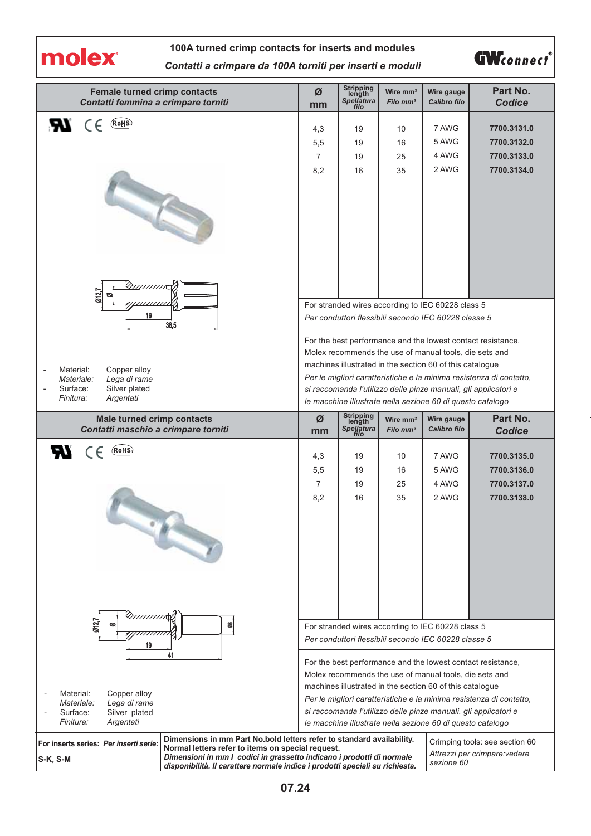

## **100A turned crimp contacts for inserts and modules** *Contatti a crimpare da 100A torniti per inserti e moduli*



| <b>Female turned crimp contacts</b><br>Contatti femmina a crimpare torniti                                                                                                                                       | Ø<br>mm                                                                                                                                                                                                                                                                                                                                                                                                                                           | Stripping<br>length<br>Spellatura<br>filo | Wire $mm2$<br>Filo mm <sup>2</sup> | Wire gauge<br>Calibro filo                           | Part No.<br><b>Codice</b>      |  |
|------------------------------------------------------------------------------------------------------------------------------------------------------------------------------------------------------------------|---------------------------------------------------------------------------------------------------------------------------------------------------------------------------------------------------------------------------------------------------------------------------------------------------------------------------------------------------------------------------------------------------------------------------------------------------|-------------------------------------------|------------------------------------|------------------------------------------------------|--------------------------------|--|
| (RoHS)<br>$\epsilon$<br>Яч                                                                                                                                                                                       | 4,3                                                                                                                                                                                                                                                                                                                                                                                                                                               | 19                                        | 10                                 | 7 AWG                                                | 7700.3131.0                    |  |
|                                                                                                                                                                                                                  | 5,5                                                                                                                                                                                                                                                                                                                                                                                                                                               | 19                                        | 16                                 | 5 AWG                                                | 7700.3132.0                    |  |
|                                                                                                                                                                                                                  | $\overline{7}$                                                                                                                                                                                                                                                                                                                                                                                                                                    | 19                                        | 25                                 | 4 AWG                                                | 7700.3133.0                    |  |
|                                                                                                                                                                                                                  | 8,2                                                                                                                                                                                                                                                                                                                                                                                                                                               | 16                                        | 35                                 | 2 AWG                                                | 7700.3134.0                    |  |
| TE                                                                                                                                                                                                               |                                                                                                                                                                                                                                                                                                                                                                                                                                                   |                                           |                                    |                                                      |                                |  |
|                                                                                                                                                                                                                  |                                                                                                                                                                                                                                                                                                                                                                                                                                                   |                                           |                                    |                                                      |                                |  |
| 012,7<br>ల                                                                                                                                                                                                       |                                                                                                                                                                                                                                                                                                                                                                                                                                                   |                                           |                                    | For stranded wires according to IEC 60228 class 5    |                                |  |
| 19<br>38,5                                                                                                                                                                                                       |                                                                                                                                                                                                                                                                                                                                                                                                                                                   |                                           |                                    | Per conduttori flessibili secondo IEC 60228 classe 5 |                                |  |
| Copper alloy<br>Material:<br>$\overline{a}$<br>Lega di rame<br>Materiale:<br>Surface:<br>Silver plated<br>Finitura:<br>Argentati                                                                                 | For the best performance and the lowest contact resistance,<br>Molex recommends the use of manual tools, die sets and<br>machines illustrated in the section 60 of this catalogue<br>Per le migliori caratteristiche e la minima resistenza di contatto,<br>si raccomanda l'utilizzo delle pinze manuali, gli applicatori e<br>le macchine illustrate nella sezione 60 di questo catalogo                                                         |                                           |                                    |                                                      |                                |  |
| <b>Male turned crimp contacts</b><br>Contatti maschio a crimpare torniti                                                                                                                                         | Ø<br>mm                                                                                                                                                                                                                                                                                                                                                                                                                                           | Stripping<br>length<br><b>Spellatura</b>  | Wire $mm2$<br>Filo $mm2$           | Wire gauge<br>Calibro filo                           | Part No.<br>Codice             |  |
| <b>RE</b><br>(RoHS)<br>CE                                                                                                                                                                                        |                                                                                                                                                                                                                                                                                                                                                                                                                                                   | filo                                      |                                    |                                                      |                                |  |
|                                                                                                                                                                                                                  | 4,3                                                                                                                                                                                                                                                                                                                                                                                                                                               | 19                                        | 10                                 | 7 AWG                                                | 7700.3135.0                    |  |
|                                                                                                                                                                                                                  | 5,5                                                                                                                                                                                                                                                                                                                                                                                                                                               | 19                                        | 16                                 | 5 AWG                                                | 7700.3136.0                    |  |
|                                                                                                                                                                                                                  | $\overline{7}$<br>8,2                                                                                                                                                                                                                                                                                                                                                                                                                             | 19<br>16                                  | 25                                 | 4 AWG                                                | 7700.3137.0<br>7700.3138.0     |  |
|                                                                                                                                                                                                                  |                                                                                                                                                                                                                                                                                                                                                                                                                                                   |                                           | 35                                 | 2 AWG                                                |                                |  |
| 012.7<br>8<br>ø                                                                                                                                                                                                  |                                                                                                                                                                                                                                                                                                                                                                                                                                                   |                                           |                                    | For stranded wires according to IEC 60228 class 5    |                                |  |
| 19                                                                                                                                                                                                               |                                                                                                                                                                                                                                                                                                                                                                                                                                                   |                                           |                                    |                                                      |                                |  |
| 41<br>Copper alloy<br>Material:<br>Materiale:<br>Lega di rame<br>Surface:<br>Silver plated<br><i>Finitura:</i><br>Argentati                                                                                      | Per conduttori flessibili secondo IEC 60228 classe 5<br>For the best performance and the lowest contact resistance,<br>Molex recommends the use of manual tools, die sets and<br>machines illustrated in the section 60 of this catalogue<br>Per le migliori caratteristiche e la minima resistenza di contatto,<br>si raccomanda l'utilizzo delle pinze manuali, gli applicatori e<br>le macchine illustrate nella sezione 60 di questo catalogo |                                           |                                    |                                                      |                                |  |
| Dimensions in mm Part No.bold letters refer to standard availability.<br>For inserts series: Per inserti serie:<br>Normal letters refer to items on special request.                                             |                                                                                                                                                                                                                                                                                                                                                                                                                                                   |                                           |                                    |                                                      | Crimping tools: see section 60 |  |
| Attrezzi per crimpare: vedere<br>Dimensioni in mm I codici in grassetto indicano i prodotti di normale<br>S-K, S-M<br>sezione 60<br>disponibilità. Il carattere normale indica i prodotti speciali su richiesta. |                                                                                                                                                                                                                                                                                                                                                                                                                                                   |                                           |                                    |                                                      |                                |  |